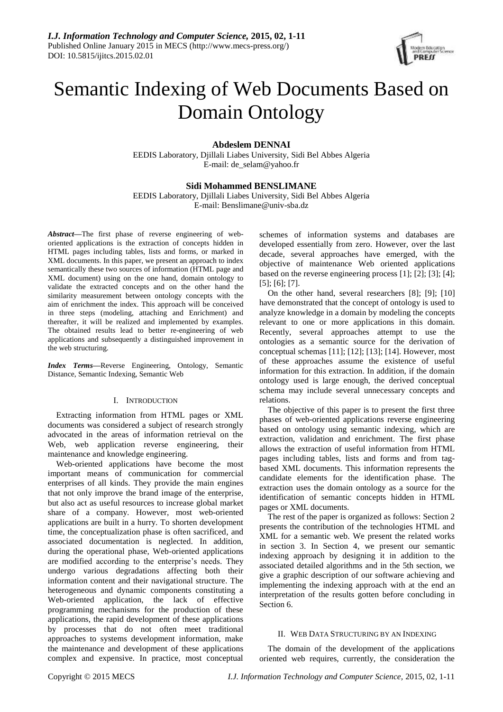

# Semantic Indexing of Web Documents Based on Domain Ontology

# **Abdeslem DENNAI**

EEDIS Laboratory, Djillali Liabes University, Sidi Bel Abbes Algeria E-mail[: de\\_selam@yahoo.fr](mailto:de_selam@yahoo.fr)

# **Sidi Mohammed BENSLIMANE**

EEDIS Laboratory, Djillali Liabes University, Sidi Bel Abbes Algeria E-mail: [Benslimane@univ-sba.dz](mailto:Benslimane@univ-sba.dz)

*Abstract***—**The first phase of reverse engineering of weboriented applications is the extraction of concepts hidden in HTML pages including tables, lists and forms, or marked in XML documents. In this paper, we present an approach to index semantically these two sources of information (HTML page and XML document) using on the one hand, domain ontology to validate the extracted concepts and on the other hand the similarity measurement between ontology concepts with the aim of enrichment the index. This approach will be conceived in three steps (modeling, attaching and Enrichment) and thereafter, it will be realized and implemented by examples. The obtained results lead to better re-engineering of web applications and subsequently a distinguished improvement in the web structuring.

*Index Terms***—**Reverse Engineering, Ontology, Semantic Distance, Semantic Indexing, Semantic Web

## I. INTRODUCTION

Extracting information from HTML pages or XML documents was considered a subject of research strongly advocated in the areas of information retrieval on the Web, web application reverse engineering, their maintenance and knowledge engineering.

Web-oriented applications have become the most important means of communication for commercial enterprises of all kinds. They provide the main engines that not only improve the brand image of the enterprise, but also act as useful resources to increase global market share of a company. However, most web-oriented applications are built in a hurry. To shorten development time, the conceptualization phase is often sacrificed, and associated documentation is neglected. In addition, during the operational phase, Web-oriented applications are modified according to the enterprise's needs. They undergo various degradations affecting both their information content and their navigational structure. The heterogeneous and dynamic components constituting a Web-oriented application, the lack of effective programming mechanisms for the production of these applications, the rapid development of these applications by processes that do not often meet traditional approaches to systems development information, make the maintenance and development of these applications complex and expensive. In practice, most conceptual schemes of information systems and databases are developed essentially from zero. However, over the last decade, several approaches have emerged, with the objective of maintenance Web oriented applications based on the reverse engineering process [1]; [2]; [3]; [4]; [5]; [6]; [7].

On the other hand, several researchers [8]; [9]; [10] have demonstrated that the concept of ontology is used to analyze knowledge in a domain by modeling the concepts relevant to one or more applications in this domain. Recently, several approaches attempt to use the ontologies as a semantic source for the derivation of conceptual schemas [11]; [12]; [13]; [14]. However, most of these approaches assume the existence of useful information for this extraction. In addition, if the domain ontology used is large enough, the derived conceptual schema may include several unnecessary concepts and relations.

The objective of this paper is to present the first three phases of web-oriented applications reverse engineering based on ontology using semantic indexing, which are extraction, validation and enrichment. The first phase allows the extraction of useful information from HTML pages including tables, lists and forms and from tagbased XML documents. This information represents the candidate elements for the identification phase. The extraction uses the domain ontology as a source for the identification of semantic concepts hidden in HTML pages or XML documents.

The rest of the paper is organized as follows: Section 2 presents the contribution of the technologies HTML and XML for a semantic web. We present the related works in section 3. In Section 4, we present our semantic indexing approach by designing it in addition to the associated detailed algorithms and in the 5th section, we give a graphic description of our software achieving and implementing the indexing approach with at the end an interpretation of the results gotten before concluding in Section 6.

## II. WEB DATA STRUCTURING BY AN INDEXING

The domain of the development of the applications oriented web requires, currently, the consideration the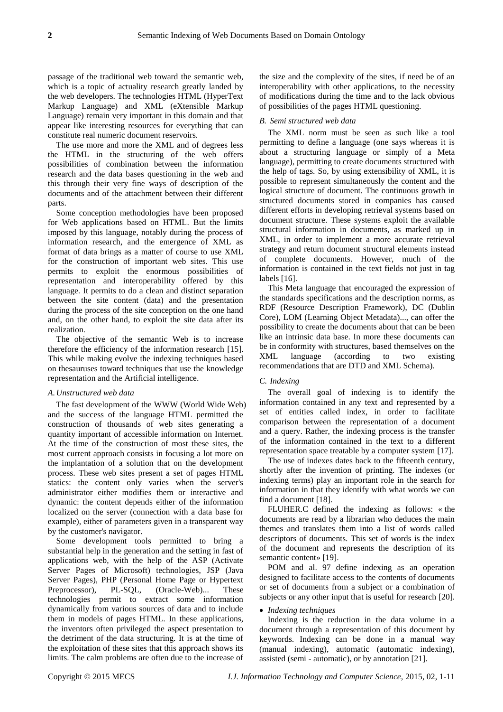passage of the traditional web toward the semantic web, which is a topic of actuality research greatly landed by the web developers. The technologies HTML (HyperText Markup Language) and XML (eXtensible Markup Language) remain very important in this domain and that appear like interesting resources for everything that can constitute real numeric document reservoirs.

The use more and more the XML and of degrees less the HTML in the structuring of the web offers possibilities of combination between the information research and the data bases questioning in the web and this through their very fine ways of description of the documents and of the attachment between their different parts.

Some conception methodologies have been proposed for Web applications based on HTML. But the limits imposed by this language, notably during the process of information research, and the emergence of XML as format of data brings as a matter of course to use XML for the construction of important web sites. This use permits to exploit the enormous possibilities of representation and interoperability offered by this language. It permits to do a clean and distinct separation between the site content (data) and the presentation during the process of the site conception on the one hand and, on the other hand, to exploit the site data after its realization.

The objective of the semantic Web is to increase therefore the efficiency of the information research [15]. This while making evolve the indexing techniques based on thesauruses toward techniques that use the knowledge representation and the Artificial intelligence.

## *A.Unstructured web data*

The fast development of the WWW (World Wide Web) and the success of the language HTML permitted the construction of thousands of web sites generating a quantity important of accessible information on Internet. At the time of the construction of most these sites, the most current approach consists in focusing a lot more on the implantation of a solution that on the development process. These web sites present a set of pages HTML statics: the content only varies when the server's administrator either modifies them or interactive and dynamic: the content depends either of the information localized on the server (connection with a data base for example), either of parameters given in a transparent way by the customer's navigator.

Some development tools permitted to bring a substantial help in the generation and the setting in fast of applications web, with the help of the ASP (Activate Server Pages of Microsoft) technologies, JSP (Java Server Pages), PHP (Personal Home Page or Hypertext Preprocessor), PL-SQL, (Oracle-Web)... These technologies permit to extract some information dynamically from various sources of data and to include them in models of pages HTML. In these applications, the inventors often privileged the aspect presentation to the detriment of the data structuring. It is at the time of the exploitation of these sites that this approach shows its limits. The calm problems are often due to the increase of the size and the complexity of the sites, if need be of an interoperability with other applications, to the necessity of modifications during the time and to the lack obvious of possibilities of the pages HTML questioning.

## *B. Semi structured web data*

The XML norm must be seen as such like a tool permitting to define a language (one says whereas it is about a structuring language or simply of a Meta language), permitting to create documents structured with the help of tags. So, by using extensibility of XML, it is possible to represent simultaneously the content and the logical structure of document. The continuous growth in structured documents stored in companies has caused different efforts in developing retrieval systems based on document structure. These systems exploit the available structural information in documents, as marked up in XML, in order to implement a more accurate retrieval strategy and return document structural elements instead of complete documents. However, much of the information is contained in the text fields not just in tag labels [16].

This Meta language that encouraged the expression of the standards specifications and the description norms, as RDF (Resource Description Framework), DC (Dublin Core), LOM (Learning Object Metadata)..., can offer the possibility to create the documents about that can be been like an intrinsic data base. In more these documents can be in conformity with structures, based themselves on the XML language (according to two existing recommendations that are DTD and XML Schema).

#### *C. Indexing*

The overall goal of indexing is to identify the information contained in any text and represented by a set of entities called index, in order to facilitate comparison between the representation of a document and a query. Rather, the indexing process is the transfer of the information contained in the text to a different representation space treatable by a computer system [17].

The use of indexes dates back to the fifteenth century, shortly after the invention of printing. The indexes (or indexing terms) play an important role in the search for information in that they identify with what words we can find a document [18].

FLUHER.C defined the indexing as follows: «the documents are read by a librarian who deduces the main themes and translates them into a list of words called descriptors of documents. This set of words is the index of the document and represents the description of its semantic content »[19].

POM and al. 97 define indexing as an operation designed to facilitate access to the contents of documents or set of documents from a subject or a combination of subjects or any other input that is useful for research [20].

## *Indexing techniques*

Indexing is the reduction in the data volume in a document through a representation of this document by keywords. Indexing can be done in a manual way (manual indexing), automatic (automatic indexing), assisted (semi - automatic), or by annotation [21].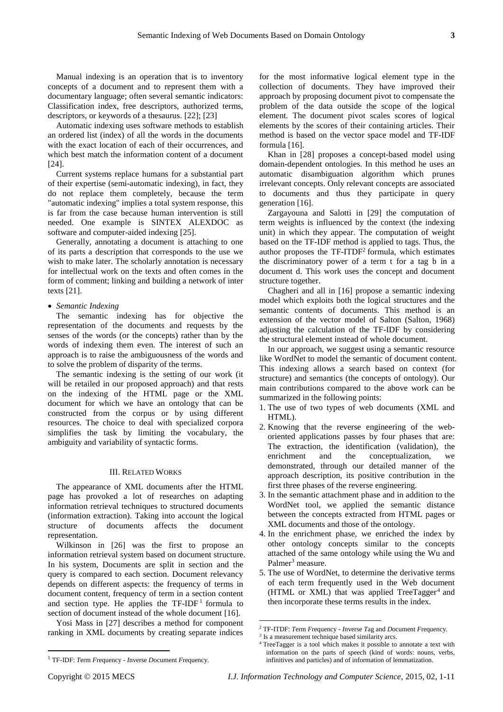Manual indexing is an operation that is to inventory concepts of a document and to represent them with a documentary language; often several semantic indicators: Classification index, free descriptors, authorized terms, descriptors, or keywords of a thesaurus. [22]; [23]

Automatic indexing uses software methods to establish an ordered list (index) of all the words in the documents with the exact location of each of their occurrences, and which best match the information content of a document [24].

Current systems replace humans for a substantial part of their expertise (semi-automatic indexing), in fact, they do not replace them completely, because the term "automatic indexing" implies a total system response, this is far from the case because human intervention is still needed. One example is SINTEX ALEXDOC as software and computer-aided indexing [25].

Generally, annotating a document is attaching to one of its parts a description that corresponds to the use we wish to make later. The scholarly annotation is necessary for intellectual work on the texts and often comes in the form of comment; linking and building a network of inter texts [21].

## *Semantic Indexing*

The semantic indexing has for objective the representation of the documents and requests by the senses of the words (or the concepts) rather than by the words of indexing them even. The interest of such an approach is to raise the ambiguousness of the words and to solve the problem of disparity of the terms.

The semantic indexing is the setting of our work (it will be retailed in our proposed approach) and that rests on the indexing of the HTML page or the XML document for which we have an ontology that can be constructed from the corpus or by using different resources. The choice to deal with specialized corpora simplifies the task by limiting the vocabulary, the ambiguity and variability of syntactic forms.

## III. RELATED WORKS

The appearance of XML documents after the HTML page has provoked a lot of researches on adapting information retrieval techniques to structured documents (information extraction). Taking into account the logical structure of documents affects the document representation.

Wilkinson in [26] was the first to propose an information retrieval system based on document structure. In his system, Documents are split in section and the query is compared to each section. Document relevancy depends on different aspects: the frequency of terms in document content, frequency of term in a section content and section type. He applies the  $TF-IDF<sup>1</sup>$  formula to section of document instead of the whole document [16].

Yosi Mass in [27] describes a method for component ranking in XML documents by creating separate indices

<sup>1</sup> TF-IDF: *T*erm *F*requency - *I*nverse *D*ocument *F*requency.

for the most informative logical element type in the collection of documents. They have improved their approach by proposing document pivot to compensate the problem of the data outside the scope of the logical element. The document pivot scales scores of logical elements by the scores of their containing articles. Their method is based on the vector space model and TF-IDF formula [16].

Khan in [28] proposes a concept-based model using domain-dependent ontologies. In this method he uses an automatic disambiguation algorithm which prunes irrelevant concepts. Only relevant concepts are associated to documents and thus they participate in query generation [16].

Zargayouna and Salotti in [29] the computation of term weights is influenced by the context (the indexing unit) in which they appear. The computation of weight based on the TF-IDF method is applied to tags. Thus, the author proposes the  $TF-ITDF<sup>2</sup>$  formula, which estimates the discriminatory power of a term t for a tag b in a document d. This work uses the concept and document structure together.

Chagheri and all in [16] propose a semantic indexing model which exploits both the logical structures and the semantic contents of documents. This method is an extension of the vector model of Salton (Salton, 1968) adjusting the calculation of the TF-IDF by considering the structural element instead of whole document.

In our approach, we suggest using a semantic resource like WordNet to model the semantic of document content. This indexing allows a search based on context (for structure) and semantics (the concepts of ontology). Our main contributions compared to the above work can be summarized in the following points:

- 1. The use of two types of web documents (XML and HTML).
- 2. Knowing that the reverse engineering of the weboriented applications passes by four phases that are: The extraction, the identification (validation), the enrichment and the conceptualization, we demonstrated, through our detailed manner of the approach description, its positive contribution in the first three phases of the reverse engineering.
- 3. In the semantic attachment phase and in addition to the WordNet tool, we applied the semantic distance between the concepts extracted from HTML pages or XML documents and those of the ontology.
- 4. In the enrichment phase, we enriched the index by other ontology concepts similar to the concepts attached of the same ontology while using the Wu and Palmer<sup>3</sup> measure.
- 5. The use of WordNet, to determine the derivative terms of each term frequently used in the Web document (HTML or XML) that was applied TreeTagger<sup>4</sup> and then incorporate these terms results in the index.

 $\overline{\phantom{a}}$ 

 $\overline{\phantom{a}}$ 

<sup>2</sup> TF-ITDF: *T*erm *F*requency - *I*nverse *T*ag and *D*ocument *F*requency.

<sup>&</sup>lt;sup>3</sup> Is a measurement technique based similarity arcs.

TreeTagger is a tool which makes it possible to annotate a text with information on the parts of speech (kind of words: nouns, verbs, infinitives and particles) and of information of lemmatization.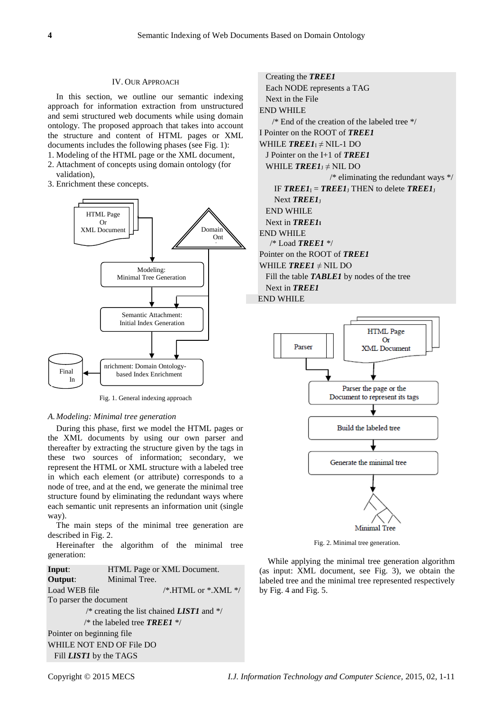## IV. OUR APPROACH

In this section, we outline our semantic indexing approach for information extraction from unstructured and semi structured web documents while using domain ontology. The proposed approach that takes into account the structure and content of HTML pages or XML documents includes the following phases (see Fig. 1):

- 1. Modeling of the HTML page or the XML document, 2. Attachment of concepts using domain ontology (for validation),
- 3. Enrichment these concepts.



Fig. 1. General indexing approach

### *A.Modeling: Minimal tree generation*

During this phase, first we model the HTML pages or the XML documents by using our own parser and thereafter by extracting the structure given by the tags in these two sources of information; secondary, we represent the HTML or XML structure with a labeled tree in which each element (or attribute) corresponds to a node of tree, and at the end, we generate the minimal tree structure found by eliminating the redundant ways where each semantic unit represents an information unit (single way).

The main steps of the minimal tree generation are described in Fig. 2.

Hereinafter the algorithm of the minimal tree generation:

**Input**: HTML Page or XML Document. **Output:** Minimal Tree. Load WEB file  $/$ \*.HTML or \*.XML \*/ To parser the document /\* creating the list chained *LIST1* and \*/ /\* the labeled tree *TREE1* \*/ Pointer on beginning file WHILE NOT END OF File DO Fill *LIST1* by the TAGS

 Creating the *TREE1* Each NODE represents a TAG Next in the File END WHILE  $/*$  End of the creation of the labeled tree  $*$ / I Pointer on the ROOT of *TREE1* WHILE  $TREE1_1 \neq$  NIL-1 DO J Pointer on the I+1 of *TREE1* WHILE  $TREE1<sub>J</sub> \neq$  NIL DO  $/*$  eliminating the redundant ways  $*/$ IF  $TREE1_1 = TREE1_1$  THEN to delete  $TREE1_1$ Next *TREE1*<sub>I</sub> END WHILE Next in *TREE1***<sup>I</sup>** END WHILE /\* Load *TREE1* \*/ Pointer on the ROOT of *TREE1* WHILE  $TREE1 \neq \text{NIL DO}$  Fill the table *TABLE1* by nodes of the tree Next in *TREE1* END WHILE



Fig. 2. Minimal tree generation.

While applying the minimal tree generation algorithm (as input: XML document, see Fig. 3), we obtain the labeled tree and the minimal tree represented respectively by Fig. 4 and Fig. 5.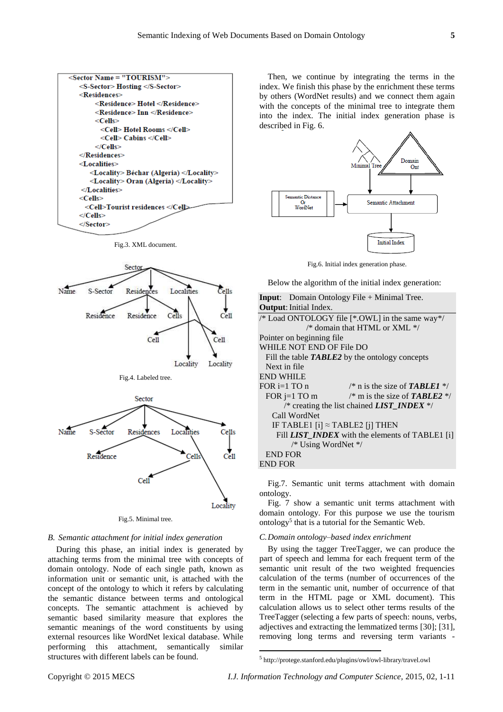

Fig.3. XML document.



Fig.5. Minimal tree.

## *B. Semantic attachment for initial index generation*

During this phase, an initial index is generated by attaching terms from the minimal tree with concepts of domain ontology. Node of each single path, known as information unit or semantic unit, is attached with the concept of the ontology to which it refers by calculating the semantic distance between terms and ontological concepts. The semantic attachment is achieved by semantic based similarity measure that explores the semantic meanings of the word constituents by using external resources like WordNet lexical database. While performing this attachment, semantically similar structures with different labels can be found.

Then, we continue by integrating the terms in the index. We finish this phase by the enrichment these terms by others (WordNet results) and we connect them again with the concepts of the minimal tree to integrate them into the index. The initial index generation phase is described in Fig. 6.



Fig.6. Initial index generation phase.

Below the algorithm of the initial index generation:

| <b>Input:</b> Domain Ontology File $+$ Minimal Tree.   |
|--------------------------------------------------------|
| <b>Output:</b> Initial Index.                          |
| /* Load ONTOLOGY file [*.OWL] in the same way*/        |
| $\frac{1}{2}$ domain that HTML or XML $\frac{1}{2}$    |
| Pointer on beginning file                              |
| WHILE NOT END OF File DO                               |
| Fill the table <b>TABLE2</b> by the ontology concepts  |
| Next in file                                           |
| <b>END WHILE</b>                                       |
| FOR $i=1$ TO n<br>/* n is the size of <b>TABLE1</b> */ |
| /* m is the size of <b>TABLE2</b> */<br>FOR $j=1$ TO m |
| /* creating the list chained <i>LIST INDEX</i> $*/$    |
| Call WordNet                                           |
| IF TABLE1 $[i] \approx$ TABLE2 $[i]$ THEN              |
| Fill <i>LIST INDEX</i> with the elements of TABLE1 [i] |
| /* Using WordNet */                                    |
| <b>END FOR</b>                                         |
| <b>END FOR</b>                                         |

Fig.7. Semantic unit terms attachment with domain ontology.

Fig. 7 show a semantic unit terms attachment with domain ontology. For this purpose we use the tourism ontology<sup>5</sup> that is a tutorial for the Semantic Web.

## *C.Domain ontology–based index enrichment*

By using the tagger TreeTagger, we can produce the part of speech and lemma for each frequent term of the semantic unit result of the two weighted frequencies calculation of the terms (number of occurrences of the term in the semantic unit, number of occurrence of that term in the HTML page or XML document). This calculation allows us to select other terms results of the TreeTagger (selecting a few parts of speech: nouns, verbs, adjectives and extracting the lemmatized terms [30]; [31], removing long terms and reversing term variants -

 $\overline{\phantom{a}}$ 

<sup>5</sup> http://protege.stanford.edu/plugins/owl/owl-library/travel.owl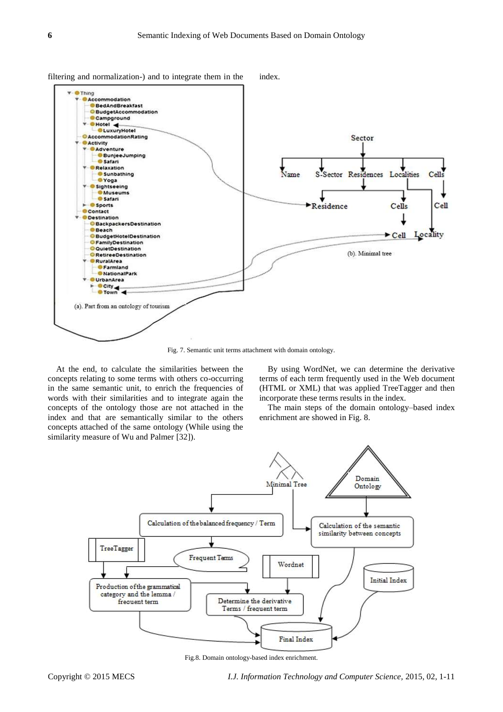

filtering and normalization-) and to integrate them in the index.

Fig. 7. Semantic unit terms attachment with domain ontology.

At the end, to calculate the similarities between the concepts relating to some terms with others co-occurring in the same semantic unit, to enrich the frequencies of words with their similarities and to integrate again the concepts of the ontology those are not attached in the index and that are semantically similar to the others concepts attached of the same ontology (While using the similarity measure of Wu and Palmer [32]).

By using WordNet, we can determine the derivative terms of each term frequently used in the Web document (HTML or XML) that was applied TreeTagger and then incorporate these terms results in the index.

The main steps of the domain ontology–based index enrichment are showed in Fig. 8.



Fig.8. Domain ontology-based index enrichment.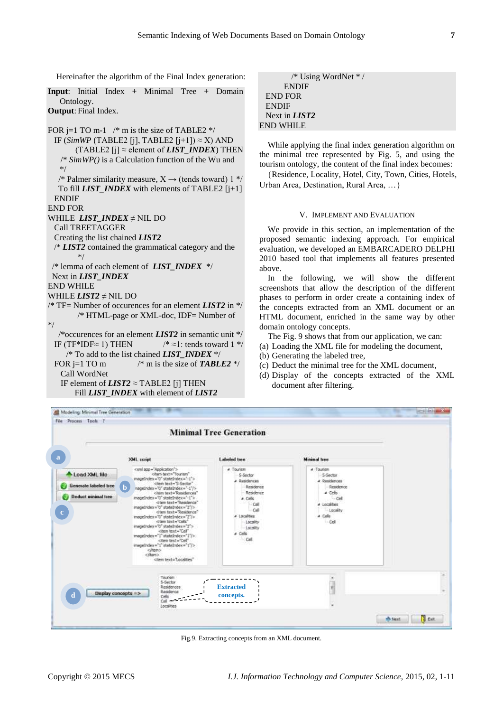Hereinafter the algorithm of the Final Index generation:

**Input**: Initial Index + Minimal Tree + Domain Ontology. **Output**: Final Index. FOR j=1 TO m-1  $\frac{*}{*}$  m is the size of TABLE2  $\frac{*}{*}$ 

IF (*SimWP* (TABLE2 [j], TABLE2 [j+1])  $\approx$  X) AND (TABLE2 [j]  $\approx$  element of *LIST\_INDEX*) THEN /\* *SimWP()* is a Calculation function of the Wu and \*/ /\* Palmer similarity measure,  $X \rightarrow$  (tends toward) 1 \*/ To fill *LIST\_INDEX* with elements of TABLE2 [j+1] ENDIF END FOR WHILE *LIST\_INDEX* ≠ NIL DO Call TREETAGGER Creating the list chained *LIST2* /\* *LIST2* contained the grammatical category and the \*/ /\* lemma of each element of *LIST\_INDEX* \*/ Next in *LIST\_INDEX* END WHILE WHILE *LIST2* ≠ NIL DO /\* TF= Number of occurences for an element *LIST2* in \*/ /\* HTML-page or XML-doc, IDF= Number of \*/ /\*occurences for an element *LIST2* in semantic unit \*/ IF (TF\*IDF $\approx$  1) THEN /\*  $\approx$ 1: tends toward 1 \*/ /\* To add to the list chained *LIST\_INDEX* \*/ FOR j=1 TO m  $\frac{\text{m}}{\text{s}}$  m is the size of **TABLE2** \*/ Call WordNet IF element of  $LIST2 \approx TABLE2$  [j] THEN Fill *LIST\_INDEX* with element of *LIST2*

/\* Using WordNet \* / **ENDIF**  END FOR **ENDIF**  Next in *LIST2* END WHILE

While applying the final index generation algorithm on the minimal tree represented by Fig. 5, and using the tourism ontology, the content of the final index becomes:

Residence, Locality, Hotel, City, Town, Cities, Hotels, Urban Area, Destination, Rural Area, …

## V. IMPLEMENT AND EVALUATION

We provide in this section, an implementation of the proposed semantic indexing approach. For empirical evaluation, we developed an EMBARCADERO DELPHI 2010 based tool that implements all features presented above.

In the following, we will show the different screenshots that allow the description of the different phases to perform in order create a containing index of the concepts extracted from an XML document or an HTML document, enriched in the same way by other domain ontology concepts.

The Fig. 9 shows that from our application, we can:

- (a) Loading the XML file for modeling the document,
- (b) Generating the labeled tree,
- (c) Deduct the minimal tree for the XML document,
- (d) Display of the concepts extracted of the XML document after filtering.



Fig.9. Extracting concepts from an XML document.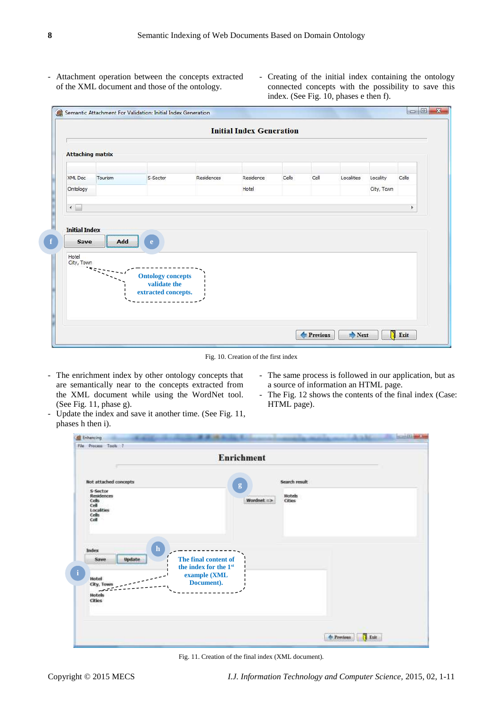- Attachment operation between the concepts extracted of the XML document and those of the ontology.
- Creating of the initial index containing the ontology connected concepts with the possibility to save this index. (See Fig. 10, phases e then f).

| <b>Attaching matrix</b> |                |                                          |            |           |       |      |            |            |       |
|-------------------------|----------------|------------------------------------------|------------|-----------|-------|------|------------|------------|-------|
| XML Doc                 | Tourism        | S-Sector                                 | Residences | Residence | Cells | Cell | Localities | Locality   | Cells |
| Ontology                |                |                                          |            | Hotel     |       |      |            | City, Town |       |
| $\leftarrow$            |                |                                          |            |           |       |      |            |            | ×.    |
| <b>Initial Index</b>    |                |                                          |            |           |       |      |            |            |       |
| Save<br>Hotel           | Add            | $\mathbf{e}$                             |            |           |       |      |            |            |       |
| City, Town              |                |                                          |            |           |       |      |            |            |       |
|                         | $\sim$ .       | <b>Ontology concepts</b><br>validate the |            |           |       |      |            |            |       |
|                         | $\blacksquare$ | extracted concepts.                      |            |           |       |      |            |            |       |

Fig. 10. Creation of the first index

- The enrichment index by other ontology concepts that are semantically near to the concepts extracted from the XML document while using the WordNet tool. (See Fig. 11, phase g).
- The same process is followed in our application, but as a source of information an HTML page.
- The Fig. 12 shows the contents of the final index (Case: HTML page).

- Update the index and save it another time. (See Fig. 11, phases h then i).

| Not attached concepts<br>S-Sector<br><b>Residences</b><br>Cells<br>Cell<br>Localities<br>Cells<br>Cell                                                                       | g<br>Wordnet $\Rightarrow$ | Search result<br>Hotels<br>Cities |  |
|------------------------------------------------------------------------------------------------------------------------------------------------------------------------------|----------------------------|-----------------------------------|--|
| ${\bf h}$<br>Index<br>The final content of<br><b>Update</b><br><b>Save</b><br>the index for the 1st<br>example (XML<br>Hotel<br>Document).<br>City, Town<br>Hotels<br>Cities |                            |                                   |  |

Fig. 11. Creation of the final index (XML document).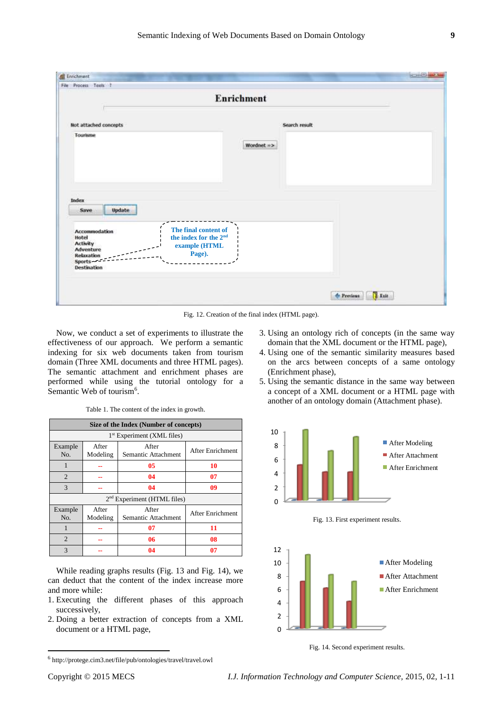| <b>Enrichment</b>                                                                                                                             |                                                                                                                  |  |  |  |
|-----------------------------------------------------------------------------------------------------------------------------------------------|------------------------------------------------------------------------------------------------------------------|--|--|--|
| Not attached concepts                                                                                                                         | Search result                                                                                                    |  |  |  |
| Tourisme                                                                                                                                      | Wordnet =>                                                                                                       |  |  |  |
|                                                                                                                                               |                                                                                                                  |  |  |  |
| Index<br>Update<br>Save<br>Accommodation<br>Hotel<br><b>Activity</b><br><b>Adventure</b><br><b>Relaxation</b><br><b>Sports</b><br>Destination | $\overline{\phantom{0}}$<br>The final content of<br>the index for the 2 <sup>nd</sup><br>example (HTML<br>Page). |  |  |  |

Fig. 12. Creation of the final index (HTML page).

Now, we conduct a set of experiments to illustrate the effectiveness of our approach. We perform a semantic indexing for six web documents taken from tourism domain (Three XML documents and three HTML pages). The semantic attachment and enrichment phases are performed while using the tutorial ontology for a Semantic Web of tourism<sup>6</sup>.

| Size of the Index (Number of concepts) |                   |                              |                  |  |  |  |  |
|----------------------------------------|-------------------|------------------------------|------------------|--|--|--|--|
| 1 <sup>st</sup> Experiment (XML files) |                   |                              |                  |  |  |  |  |
| Example<br>No.                         | After<br>Modeling | After<br>Semantic Attachment | After Enrichment |  |  |  |  |
| 1                                      |                   | 05                           | 10               |  |  |  |  |
| $\overline{2}$                         |                   | 04                           | 07               |  |  |  |  |
| 3                                      |                   | 04                           | 09               |  |  |  |  |
| $2nd$ Experiment (HTML files)          |                   |                              |                  |  |  |  |  |
| Example<br>No.                         | After<br>Modeling | After<br>Semantic Attachment | After Enrichment |  |  |  |  |
| 1                                      |                   | 07                           | 11               |  |  |  |  |
| 2                                      |                   | 06                           | 08               |  |  |  |  |
| 3                                      |                   | 04                           | 07               |  |  |  |  |

Table 1. The content of the index in growth.

While reading graphs results (Fig. 13 and Fig. 14), we can deduct that the content of the index increase more and more while:

- 1. Executing the different phases of this approach successively,
- 2. Doing a better extraction of concepts from a XML document or a HTML page,

<sup>6</sup> http://protege.cim3.net/file/pub/ontologies/travel/travel.owl

- 3. Using an ontology rich of concepts (in the same way domain that the XML document or the HTML page),
- 4. Using one of the semantic similarity measures based on the arcs between concepts of a same ontology (Enrichment phase),
- 5. Using the semantic distance in the same way between a concept of a XML document or a HTML page with another of an ontology domain (Attachment phase).





Fig. 14. Second experiment results.

 $\overline{\phantom{a}}$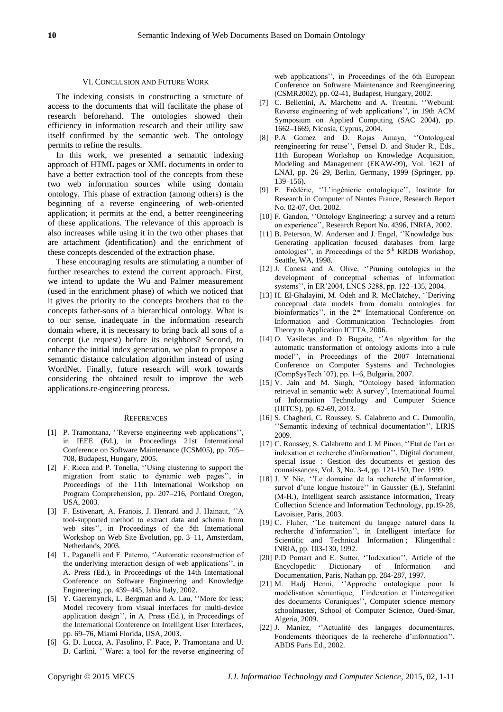#### VI. CONCLUSION AND FUTURE WORK

The indexing consists in constructing a structure of access to the documents that will facilitate the phase of research beforehand. The ontologies showed their efficiency in information research and their utility saw itself confirmed by the semantic web. The ontology permits to refine the results.

In this work, we presented a semantic indexing approach of HTML pages or XML documents in order to have a better extraction tool of the concepts from these two web information sources while using domain ontology. This phase of extraction (among others) is the beginning of a reverse engineering of web-oriented application; it permits at the end, a better reengineering of these applications. The relevance of this approach is also increases while using it in the two other phases that are attachment (identification) and the enrichment of these concepts descended of the extraction phase.

These encouraging results are stimulating a number of further researches to extend the current approach. First, we intend to update the Wu and Palmer measurement (used in the enrichment phase) of which we noticed that it gives the priority to the concepts brothers that to the concepts father-sons of a hierarchical ontology. What is to our sense, inadequate in the information research domain where, it is necessary to bring back all sons of a concept (i.e request) before its neighbors? Second, to enhance the initial index generation, we plan to propose a semantic distance calculation algorithm instead of using WordNet. Finally, future research will work towards considering the obtained result to improve the web applications.re-engineering process.

#### **REFERENCES**

- [1] P. Tramontana, "Reverse engineering web applications" in IEEE (Ed.), in Proceedings 21st International Conference on Software Maintenance (ICSM05), pp. 705– 708, Budapest, Hungary, 2005.
- [2] F. Ricca and P. Tonella, ''Using clustering to support the migration from static to dynamic web pages'', in Proceedings of the 11th International Workshop on Program Comprehension, pp. 207–216, Portland Oregon, USA, 2003.
- [3] F. Estivenart, A. Franois, J. Henrard and J. Hainaut, ''A tool-supported method to extract data and schema from web sites'', in Proceedings of the 5th International Workshop on Web Site Evolution, pp. 3–11, Amsterdam, Netherlands, 2003.
- [4] L. Paganelli and F. Paterno, "Automatic reconstruction of the underlying interaction design of web applications'', in A. Press (Ed.), in Proceedings of the 14th International Conference on Software Engineering and Knowledge Engineering, pp. 439–445, Ishia Italy, 2002.
- [5] Y. Gaeremynck, L. Bergman and A. Lau, ''More for less: Model recovery from visual interfaces for multi-device application design'', in A. Press (Ed.), in Proceedings of the International Conference on Intelligent User Interfaces, pp. 69–76, Miami Florida, USA, 2003.
- [6] G. D. Lucca, A. Fasolino, F. Pace, P. Tramontana and U. D. Carlini, ''Ware: a tool for the reverse engineering of

web applications'', in Proceedings of the 6th European Conference on Software Maintenance and Reengineering (CSMR2002), pp. 02-41, Budapest, Hungary, 2002.

- [7] C. Bellettini, A. Marchetto and A. Trentini, ''Webuml: Reverse engineering of web applications'', in 19th ACM Symposium on Applied Computing (SAC 2004), pp. 1662–1669, Nicosia, Cyprus, 2004.
- [8] P.A Gomez and D. Rojas Amaya, ''Ontological reengineering for reuse'', Fensel D. and Studer R., Eds., 11th European Workshop on Knowledge Acquisition, Modeling and Management (EKAW-99), Vol. 1621 of LNAI, pp. 26–29, Berlin, Germany, 1999 (Springer, pp. 139–156).
- [9] F. Frédéric, ''L'ingénierie ontologique'', Institute for Research in Computer of Nantes France, Research Report No. 02-07, Oct. 2002.
- [10] F. Gandon, "Ontology Engineering: a survey and a return on experience'', Research Report No. 4396, INRIA, 2002.
- [11] B. Peterson, W. Andersen and J. Engel, "Knowledge bus: Generating application focused databases from large ontologies", in Proceedings of the 5<sup>th</sup> KRDB Workshop, Seattle, WA, 1998.
- [12] J. Conesa and A. Olive, ''Pruning ontologies in the development of conceptual schemas of information systems'', in ER'2004, LNCS 3288, pp. 122–135, 2004.
- [13] H. El-Ghalayini, M. Odeh and R. McClatchey, ''Deriving conceptual data models from domain ontologies for bioinformatics'', in the 2nd International Conference on Information and Communication Technologies from Theory to Application ICTTA, 2006.
- [14] O. Vasilecas and D. Bugaite, "An algorithm for the automatic transformation of ontology axioms into a rule model'', in Proceedings of the 2007 International Conference on Computer Systems and Technologies (CompSysTech '07), pp. 1–6, Bulgaria, 2007.
- [15] V. Jain and M. Singh, "Ontology based information retrieval in semantic web: A survey", International Journal of Information Technology and Computer Science (IJITCS), pp. 62-69, 2013.
- [16] S. Chagheri, C. Roussey, S. Calabretto and C. Dumoulin, ''Semantic indexing of technical documentation'', LIRIS 2009.
- [17] C. Roussey, S. Calabretto and J. M Pinon, "Etat de l'art en indexation et recherche d'information'', Digital document, special issue : Gestion des documents et gestion des connaissances, Vol. 3, No. 3-4, pp. 121-150, Dec. 1999.
- [18] J. Y Nie, ''Le domaine de la recherche d'information, survol d'une longue histoire'' in Gaussier (E.), Stefanini (M-H.), Intelligent search assistance information, Treaty Collection Science and Information Technology, pp.19-28, Lavoisier, Paris, 2003.
- [19] C. Fluher, ''Le traitement du langage naturel dans la recherche d'information'', in Intelligent interface for Scientific and Technical Information ; Klingenthal : INRIA, pp. 103-130, 1992.
- [20] P.D Pomart and E. Sutter, ''Indexation'', Article of the Encyclopedic Dictionary of Information and Documentation, Paris, Nathan pp. 284-287, 1997.
- [21] M. Hadj Henni, ''Approche ontologique pour la modélisation sémantique, l'indexation et l'interrogation des documents Coraniques'', Computer science memory schoolmaster, School of Computer Science, Oued-Smar, Algeria, 2009.
- [22] J. Maniez, ''Actualité des langages documentaires, Fondements théoriques de la recherche d'information'', ABDS Paris Ed., 2002.